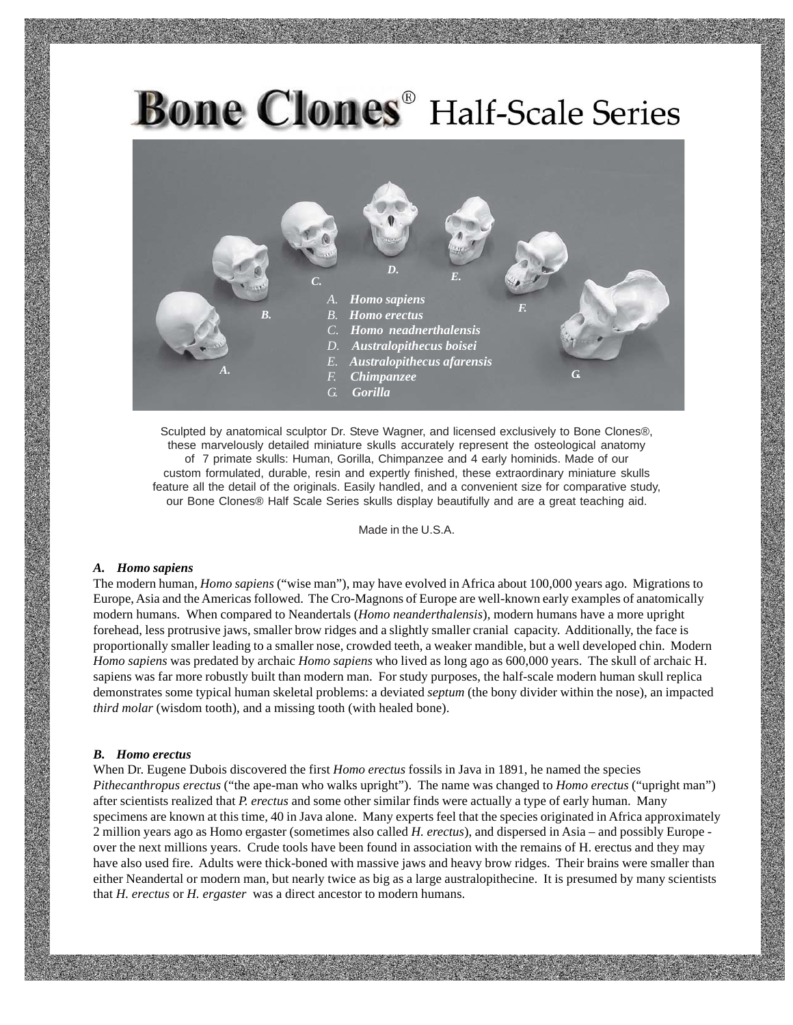

Sculpted by anatomical sculptor Dr. Steve Wagner, and licensed exclusively to Bone Clones®, these marvelously detailed miniature skulls accurately represent the osteological anatomy of 7 primate skulls: Human, Gorilla, Chimpanzee and 4 early hominids. Made of our custom formulated, durable, resin and expertly finished, these extraordinary miniature skulls feature all the detail of the originals. Easily handled, and a convenient size for comparative study, our Bone Clones® Half Scale Series skulls display beautifully and are a great teaching aid.

Made in the U.S.A.

#### *A. Homo sapiens*

The modern human, *Homo sapiens* ("wise man"), may have evolved in Africa about 100,000 years ago. Migrations to Europe, Asia and the Americas followed. The Cro-Magnons of Europe are well-known early examples of anatomically modern humans. When compared to Neandertals (*Homo neanderthalensis*), modern humans have a more upright forehead, less protrusive jaws, smaller brow ridges and a slightly smaller cranial capacity. Additionally, the face is proportionally smaller leading to a smaller nose, crowded teeth, a weaker mandible, but a well developed chin. Modern *Homo sapiens* was predated by archaic *Homo sapiens* who lived as long ago as 600,000 years. The skull of archaic H. sapiens was far more robustly built than modern man. For study purposes, the half-scale modern human skull replica demonstrates some typical human skeletal problems: a deviated *septum* (the bony divider within the nose), an impacted *third molar* (wisdom tooth), and a missing tooth (with healed bone).

#### *B. Homo erectus*

When Dr. Eugene Dubois discovered the first *Homo erectus* fossils in Java in 1891, he named the species *Pithecanthropus erectus* ("the ape-man who walks upright"). The name was changed to *Homo erectus* ("upright man") after scientists realized that *P. erectus* and some other similar finds were actually a type of early human. Many specimens are known at this time, 40 in Java alone. Many experts feel that the species originated in Africa approximately 2 million years ago as Homo ergaster (sometimes also called *H. erectus*), and dispersed in Asia – and possibly Europe over the next millions years. Crude tools have been found in association with the remains of H. erectus and they may have also used fire. Adults were thick-boned with massive jaws and heavy brow ridges. Their brains were smaller than either Neandertal or modern man, but nearly twice as big as a large australopithecine. It is presumed by many scientists that *H. erectus* or *H. ergaster* was a direct ancestor to modern humans.